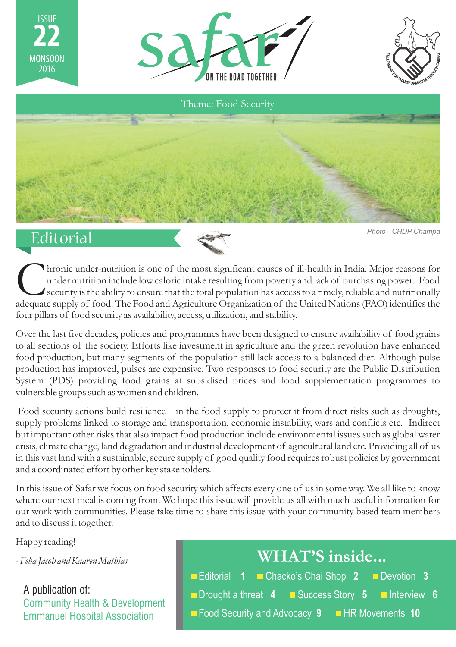





### Editorial

ISSUE **22**

MONSOON<br>2016

*Photo - CHDP Champa*

Thronic under-nutrition is one of the most significant causes of ill-health in India. Major reasons for under nutrition include low caloric intake resulting from poverty and lack of purchasing power. Food security is the a security is the ability to ensure that the total population has access to a timely, reliable and nutritionally four pillars of food security as availability, access, utilization, and stability.

Over the last five decades, policies and programmes have been designed to ensure availability of food grains to all sections of the society. Efforts like investment in agriculture and the green revolution have enhanced food production, but many segments of the population still lack access to a balanced diet. Although pulse production has improved, pulses are expensive. Two responses to food security are the Public Distribution System (PDS) providing food grains at subsidised prices and food supplementation programmes to vulnerable groups such as women and children.

 Food security actions build resilience in the food supply to protect it from direct risks such as droughts, supply problems linked to storage and transportation, economic instability, wars and conflicts etc. Indirect but important other risks that also impact food production include environmental issues such as global water crisis, climate change, land degradation and industrial development of agricultural land etc. Providing all of us in this vast land with a sustainable, secure supply of good quality food requires robust policies by government and a coordinated effort by other key stakeholders.

In this issue of Safar we focus on food security which affects every one of us in some way. We all like to know where our next meal is coming from. We hope this issue will provide us all with much useful information for our work with communities. Please take time to share this issue with your community based team members and to discuss it together.

Happy reading!

*- Feba Jacob and Kaaren Mathias*

A publication of: Community Health & Development Emmanuel Hospital Association

| WHAT'S inside                                    |
|--------------------------------------------------|
| Editorial 1 Chacko's Chai Shop 2 Devotion 3      |
| Drought a threat 4 Success Story 5 Interview 6   |
| ■ Food Security and Advocacy 9 ■ HR Movements 10 |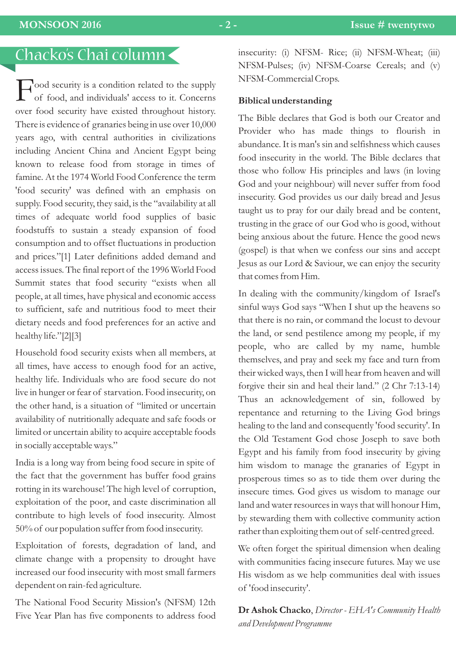# Chacko's Chai column

ood security is a condition related to the supply Fof food, and individuals' access to it. Concerns over food security have existed throughout history. There is evidence of granaries being in use over 10,000 years ago, with central authorities in civilizations including Ancient China and Ancient Egypt being known to release food from storage in times of famine. At the 1974 World Food Conference the term 'food security' was defined with an emphasis on supply. Food security, they said, is the "availability at all times of adequate world food supplies of basic foodstuffs to sustain a steady expansion of food consumption and to offset fluctuations in production and prices."[1] Later definitions added demand and access issues. The final report of the 1996 World Food Summit states that food security "exists when all people, at all times, have physical and economic access to sufficient, safe and nutritious food to meet their dietary needs and food preferences for an active and healthy life."[2][3]

Household food security exists when all members, at all times, have access to enough food for an active, healthy life. Individuals who are food secure do not live in hunger or fear of starvation. Food insecurity, on the other hand, is a situation of "limited or uncertain availability of nutritionally adequate and safe foods or limited or uncertain ability to acquire acceptable foods in socially acceptable ways."

India is a long way from being food secure in spite of the fact that the government has buffer food grains rotting in its warehouse! The high level of corruption, exploitation of the poor, and caste discrimination all contribute to high levels of food insecurity. Almost 50% of our population suffer from food insecurity.

Exploitation of forests, degradation of land, and climate change with a propensity to drought have increased our food insecurity with most small farmers dependent on rain-fed agriculture.

The National Food Security Mission's (NFSM) 12th Five Year Plan has five components to address food insecurity: (i) NFSM- Rice; (ii) NFSM-Wheat; (iii) NFSM-Pulses; (iv) NFSM-Coarse Cereals; and (v) NFSM-Commercial Crops.

#### **Biblical understanding**

The Bible declares that God is both our Creator and Provider who has made things to flourish in abundance. It is man's sin and selfishness which causes food insecurity in the world. The Bible declares that those who follow His principles and laws (in loving God and your neighbour) will never suffer from food insecurity. God provides us our daily bread and Jesus taught us to pray for our daily bread and be content, trusting in the grace of our God who is good, without being anxious about the future. Hence the good news (gospel) is that when we confess our sins and accept Jesus as our Lord & Saviour, we can enjoy the security that comes from Him.

In dealing with the community/kingdom of Israel's sinful ways God says "When I shut up the heavens so that there is no rain, or command the locust to devour the land, or send pestilence among my people, if my people, who are called by my name, humble themselves, and pray and seek my face and turn from their wicked ways, then I will hear from heaven and will forgive their sin and heal their land." (2 Chr 7:13-14) Thus an acknowledgement of sin, followed by repentance and returning to the Living God brings healing to the land and consequently 'food security'. In the Old Testament God chose Joseph to save both Egypt and his family from food insecurity by giving him wisdom to manage the granaries of Egypt in prosperous times so as to tide them over during the insecure times. God gives us wisdom to manage our land and water resources in ways that will honour Him, by stewarding them with collective community action rather than exploiting them out of self-centred greed.

We often forget the spiritual dimension when dealing with communities facing insecure futures. May we use His wisdom as we help communities deal with issues of 'food insecurity'.

**Dr Ashok Chacko**, *Director - EHA's Community Health and Development Programme*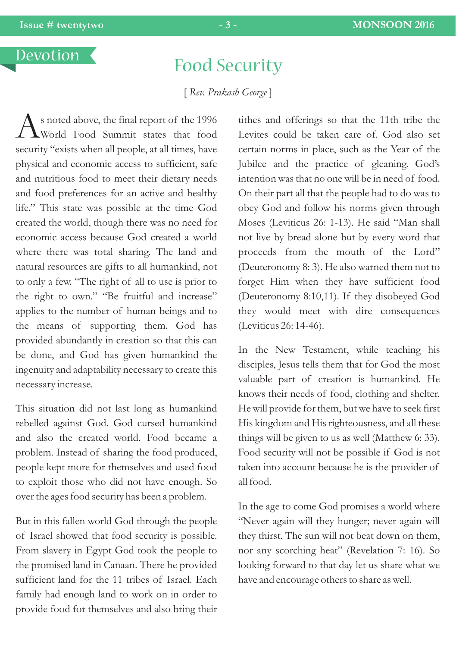## Food Security

[ *Rev. Prakash George* ]

 $\bigwedge$ s noted above, the final report of the 1996<br>World Food Summit states that food security "exists when all people, at all times, have physical and economic access to sufficient, safe and nutritious food to meet their dietary needs and food preferences for an active and healthy life." This state was possible at the time God created the world, though there was no need for economic access because God created a world where there was total sharing. The land and natural resources are gifts to all humankind, not to only a few. "The right of all to use is prior to the right to own." "Be fruitful and increase" applies to the number of human beings and to the means of supporting them. God has provided abundantly in creation so that this can be done, and God has given humankind the ingenuity and adaptability necessary to create this necessary increase.

This situation did not last long as humankind rebelled against God. God cursed humankind and also the created world. Food became a problem. Instead of sharing the food produced, people kept more for themselves and used food to exploit those who did not have enough. So over the ages food security has been a problem.

But in this fallen world God through the people of Israel showed that food security is possible. From slavery in Egypt God took the people to the promised land in Canaan. There he provided sufficient land for the 11 tribes of Israel. Each family had enough land to work on in order to provide food for themselves and also bring their

tithes and offerings so that the 11th tribe the Levites could be taken care of. God also set certain norms in place, such as the Year of the Jubilee and the practice of gleaning. God's intention was that no one will be in need of food. On their part all that the people had to do was to obey God and follow his norms given through Moses (Leviticus 26: 1-13). He said "Man shall not live by bread alone but by every word that proceeds from the mouth of the Lord" (Deuteronomy 8: 3). He also warned them not to forget Him when they have sufficient food (Deuteronomy 8:10,11). If they disobeyed God they would meet with dire consequences (Leviticus 26: 14-46).

In the New Testament, while teaching his disciples, Jesus tells them that for God the most valuable part of creation is humankind. He knows their needs of food, clothing and shelter. He will provide for them, but we have to seek first His kingdom and His righteousness, and all these things will be given to us as well (Matthew 6: 33). Food security will not be possible if God is not taken into account because he is the provider of all food.

In the age to come God promises a world where "Never again will they hunger; never again will they thirst. The sun will not beat down on them, nor any scorching heat" (Revelation 7: 16). So looking forward to that day let us share what we have and encourage others to share as well.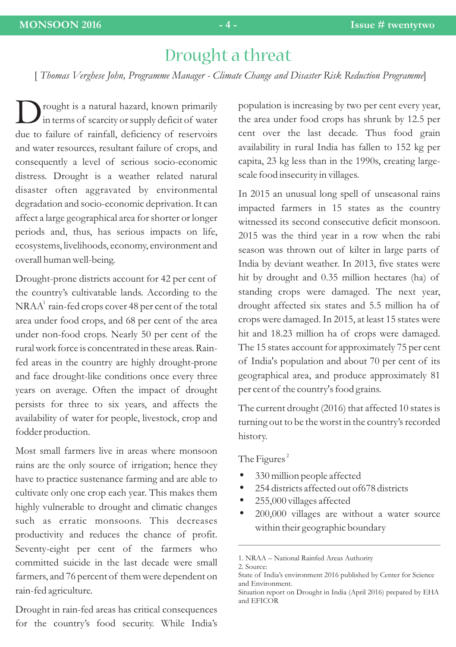## Drought a threat

[ *Thomas Verghese John, Programme Manager - Climate Change and Disaster Risk Reduction Programme*]

rought is a natural hazard, known primarily<br>in terms of scarcity or supply deficit of water due to failure of rainfall, deficiency of reservoirs and water resources, resultant failure of crops, and consequently a level of serious socio-economic distress. Drought is a weather related natural disaster often aggravated by environmental degradation and socio-economic deprivation. It can affect a large geographical area for shorter or longer periods and, thus, has serious impacts on life, ecosystems, livelihoods, economy, environment and overall human well-being.

Drought-prone districts account for 42 per cent of the country's cultivatable lands. According to the  $\mathrm{NRA}^1$  rain-fed crops cover 48 per cent of the total area under food crops, and 68 per cent of the area under non-food crops. Nearly 50 per cent of the rural work force is concentrated in these areas. Rainfed areas in the country are highly drought-prone and face drought-like conditions once every three years on average. Often the impact of drought persists for three to six years, and affects the availability of water for people, livestock, crop and fodder production.

Most small farmers live in areas where monsoon rains are the only source of irrigation; hence they have to practice sustenance farming and are able to cultivate only one crop each year. This makes them highly vulnerable to drought and climatic changes such as erratic monsoons. This decreases productivity and reduces the chance of profit. Seventy-eight per cent of the farmers who committed suicide in the last decade were small farmers, and 76 percent of them were dependent on rain-fed agriculture.

Drought in rain-fed areas has critical consequences for the country's food security. While India's population is increasing by two per cent every year, the area under food crops has shrunk by 12.5 per cent over the last decade. Thus food grain availability in rural India has fallen to 152 kg per capita, 23 kg less than in the 1990s, creating largescale food insecurity in villages.

In 2015 an unusual long spell of unseasonal rains impacted farmers in 15 states as the country witnessed its second consecutive deficit monsoon. 2015 was the third year in a row when the rabi season was thrown out of kilter in large parts of India by deviant weather. In 2013, five states were hit by drought and 0.35 million hectares (ha) of standing crops were damaged. The next year, drought affected six states and 5.5 million ha of crops were damaged. In 2015, at least 15 states were hit and 18.23 million ha of crops were damaged. The 15 states account for approximately 75 per cent of India's population and about 70 per cent of its geographical area, and produce approximately 81 per cent of the country's food grains.

The current drought (2016) that affected 10 states is turning out to be the worst in the country's recorded history.

#### The Figures<sup>2</sup>

- 330 million people affected<br>• 254 districts affected out of
- ?254 districts affected out of678 districts
- 
- ?255,000 villages affected 200,000 villages are without a water source within their geographic boundary

<sup>1.</sup> NRAA – National Rainfed Areas Authority 2. Source:

State of India's environment 2016 published by Center for Science and Environment.

Situation report on Drought in India (April 2016) prepared by EHA and EFICOR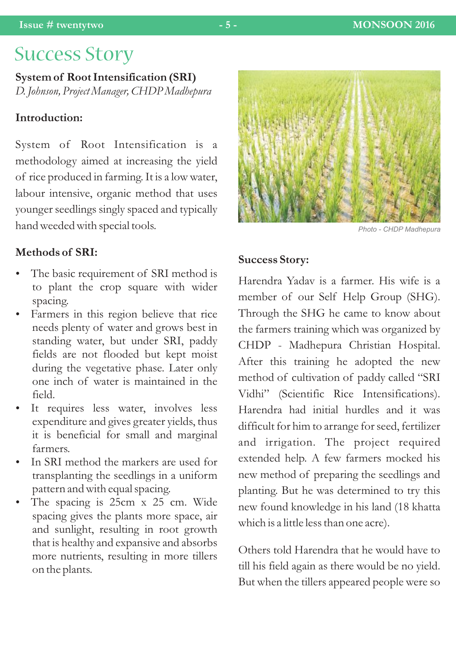# Success Story

**System of Root Intensification (SRI)** *D. Johnson, Project Manager, CHDP Madhepura*

### **Introduction:**

System of Root Intensification is a methodology aimed at increasing the yield of rice produced in farming. It is a low water, labour intensive, organic method that uses younger seedlings singly spaced and typically hand weeded with special tools.

### **Methods of SRI:**

- The basic requirement of SRI method is to plant the crop square with wider spacing.<br>• Farmers in this region believe that rice
- needs plenty of water and grows best in standing water, but under SRI, paddy fields are not flooded but kept moist during the vegetative phase. Later only one inch of water is maintained in the
- field.<br>• It requires less water, involves less expenditure and gives greater yields, thus it is beneficial for small and marginal
- farmers.<br>• In SRI method the markers are used for transplanting the seedlings in a uniform ?pattern and with equal spacing. The spacing is 25cm x 25 cm. Wide
- spacing gives the plants more space, air and sunlight, resulting in root growth that is healthy and expansive and absorbs more nutrients, resulting in more tillers on the plants.

*Photo - CHDP Madhepura*

#### **Success Story:**

Harendra Yadav is a farmer. His wife is a member of our Self Help Group (SHG). Through the SHG he came to know about the farmers training which was organized by CHDP - Madhepura Christian Hospital. After this training he adopted the new method of cultivation of paddy called "SRI Vidhi" (Scientific Rice Intensifications). Harendra had initial hurdles and it was difficult for him to arrange for seed, fertilizer and irrigation. The project required extended help. A few farmers mocked his new method of preparing the seedlings and planting. But he was determined to try this new found knowledge in his land (18 khatta which is a little less than one acre).

Others told Harendra that he would have to till his field again as there would be no yield. But when the tillers appeared people were so

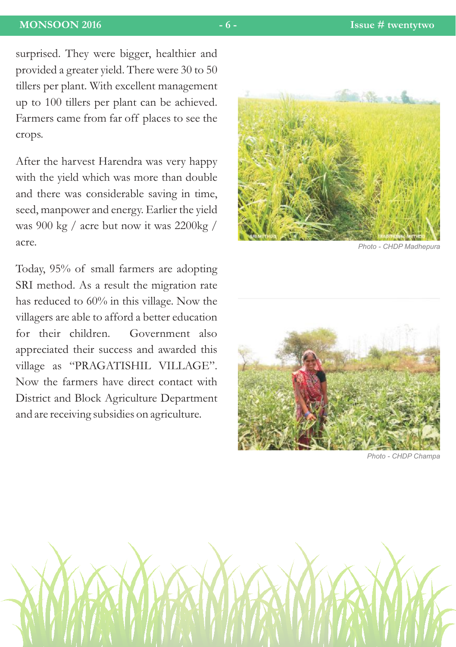surprised. They were bigger, healthier and provided a greater yield. There were 30 to 50 tillers per plant. With excellent management up to 100 tillers per plant can be achieved. Farmers came from far off places to see the crops.

After the harvest Harendra was very happy with the yield which was more than double and there was considerable saving in time, seed, manpower and energy. Earlier the yield was 900 kg / acre but now it was 2200kg / acre.

Today, 95% of small farmers are adopting SRI method. As a result the migration rate has reduced to 60% in this village. Now the villagers are able to afford a better education for their children. Government also appreciated their success and awarded this village as "PRAGATISHIL VILLAGE". Now the farmers have direct contact with District and Block Agriculture Department and are receiving subsidies on agriculture.



*Photo - CHDP Madhepura*



*Photo - CHDP Champa*

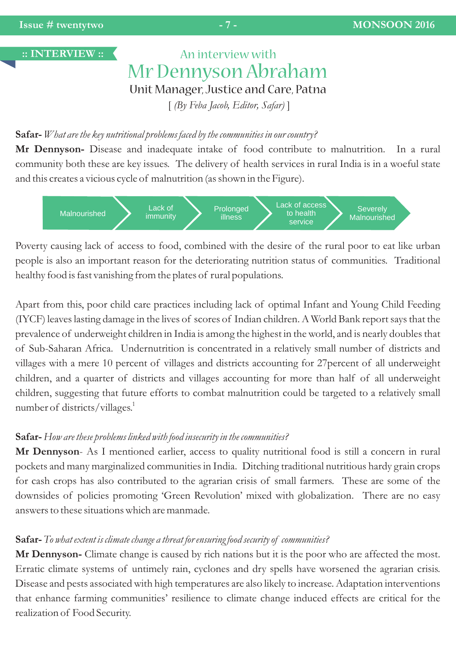**:: INTERVIEW ::** 

# An interview with Mr Dennyson Abraham Unit Manager, Justice and Care, Patna

[ *(By Feba Jacob, Editor, Safar)* ]

#### **Safar-** *What are the key nutritional problems faced by the communities in our country?*

**Mr Dennyson-** Disease and inadequate intake of food contribute to malnutrition. In a rural community both these are key issues. The delivery of health services in rural India is in a woeful state and this creates a vicious cycle of malnutrition (as shown in the Figure).



Poverty causing lack of access to food, combined with the desire of the rural poor to eat like urban people is also an important reason for the deteriorating nutrition status of communities. Traditional healthy food is fast vanishing from the plates of rural populations.

Apart from this, poor child care practices including lack of optimal Infant and Young Child Feeding (IYCF) leaves lasting damage in the lives of scores of Indian children. A World Bank report says that the prevalence of underweight children in India is among the highest in the world, and is nearly doubles that of Sub-Saharan Africa. Undernutrition is concentrated in a relatively small number of districts and villages with a mere 10 percent of villages and districts accounting for 27percent of all underweight children, and a quarter of districts and villages accounting for more than half of all underweight children, suggesting that future efforts to combat malnutrition could be targeted to a relatively small number of districts/villages.<sup>1</sup>

#### **Safar-** *How are these problems linked with food insecurity in the communities?*

**Mr Dennyson**- As I mentioned earlier, access to quality nutritional food is still a concern in rural pockets and many marginalized communities in India. Ditching traditional nutritious hardy grain crops for cash crops has also contributed to the agrarian crisis of small farmers. These are some of the downsides of policies promoting 'Green Revolution' mixed with globalization. There are no easy answers to these situations which are manmade.

#### **Safar-** *To what extent is climate change a threat for ensuring food security of communities?*

**Mr Dennyson-** Climate change is caused by rich nations but it is the poor who are affected the most. Erratic climate systems of untimely rain, cyclones and dry spells have worsened the agrarian crisis. Disease and pests associated with high temperatures are also likely to increase. Adaptation interventions that enhance farming communities' resilience to climate change induced effects are critical for the realization of Food Security.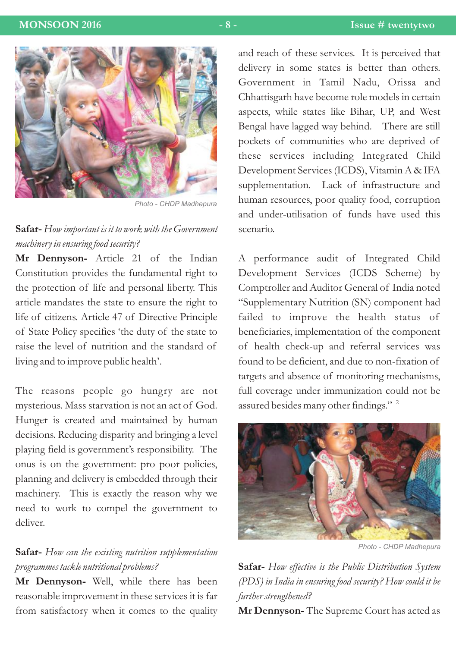

*Photo - CHDP Madhepura*

### **Safar-** *How important is it to work with the Government machinery in ensuring food security?*

**Mr Dennyson-** Article 21 of the Indian Constitution provides the fundamental right to the protection of life and personal liberty. This article mandates the state to ensure the right to life of citizens. Article 47 of Directive Principle of State Policy specifies 'the duty of the state to raise the level of nutrition and the standard of living and to improve public health'.

The reasons people go hungry are not mysterious. Mass starvation is not an act of God. Hunger is created and maintained by human decisions. Reducing disparity and bringing a level playing field is government's responsibility. The onus is on the government: pro poor policies, planning and delivery is embedded through their machinery. This is exactly the reason why we need to work to compel the government to deliver.

### **Safar-** *How can the existing nutrition supplementation programmes tackle nutritional problems?*

**Mr Dennyson-** Well, while there has been reasonable improvement in these services it is far from satisfactory when it comes to the quality and reach of these services. It is perceived that delivery in some states is better than others. Government in Tamil Nadu, Orissa and Chhattisgarh have become role models in certain aspects, while states like Bihar, UP, and West Bengal have lagged way behind. There are still pockets of communities who are deprived of these services including Integrated Child Development Services (ICDS), Vitamin A & IFA supplementation. Lack of infrastructure and human resources, poor quality food, corruption and under-utilisation of funds have used this scenario.

A performance audit of Integrated Child Development Services (ICDS Scheme) by Comptroller and Auditor General of India noted "Supplementary Nutrition (SN) component had failed to improve the health status of beneficiaries, implementation of the component of health check-up and referral services was found to be deficient, and due to non-fixation of targets and absence of monitoring mechanisms, full coverage under immunization could not be assured besides many other findings."<sup>2</sup>



*Photo - CHDP Madhepura*

**Safar-** *How effective is the Public Distribution System (PDS) in India in ensuring food security? How could it be further strengthened?*

**Mr Dennyson-** The Supreme Court has acted as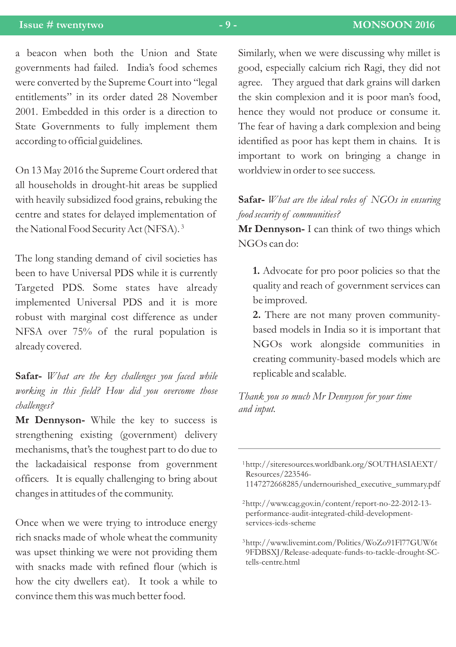#### **Issue # twentytwo - 9 - MONSOON 2016**

a beacon when both the Union and State governments had failed. India's food schemes were converted by the Supreme Court into "legal entitlements" in its order dated 28 November 2001. Embedded in this order is a direction to State Governments to fully implement them according to official guidelines.

On 13 May 2016 the Supreme Court ordered that all households in drought-hit areas be supplied with heavily subsidized food grains, rebuking the centre and states for delayed implementation of the National Food Security Act (NFSA).<sup>3</sup>

The long standing demand of civil societies has been to have Universal PDS while it is currently Targeted PDS. Some states have already implemented Universal PDS and it is more robust with marginal cost difference as under NFSA over 75% of the rural population is already covered.

**Safar-** *What are the key challenges you faced while working in this field? How did you overcome those challenges?*

**Mr Dennyson-** While the key to success is strengthening existing (government) delivery mechanisms, that's the toughest part to do due to the lackadaisical response from government officers. It is equally challenging to bring about changes in attitudes of the community.

Once when we were trying to introduce energy rich snacks made of whole wheat the community was upset thinking we were not providing them with snacks made with refined flour (which is how the city dwellers eat). It took a while to convince them this was much better food.

Similarly, when we were discussing why millet is good, especially calcium rich Ragi, they did not agree. They argued that dark grains will darken the skin complexion and it is poor man's food, hence they would not produce or consume it. The fear of having a dark complexion and being identified as poor has kept them in chains. It is important to work on bringing a change in worldview in order to see success.

**Safar-** *What are the ideal roles of NGOs in ensuring food security of communities?*

**Mr Dennyson-** I can think of two things which NGOs can do:

**1.** Advocate for pro poor policies so that the quality and reach of government services can be improved.

**2.** There are not many proven communitybased models in India so it is important that NGOs work alongside communities in creating community-based models which are replicable and scalable.

*Thank you so much Mr Dennyson for your time and input.*

http://siteresources.worldbank.org/SOUTHASIAEXT/ 1 Resources/223546-

<sup>1147272668285/</sup>undernourished\_executive\_summary.pdf

http://www.cag.gov.in/content/report-no-22-2012-13- 2 performance-audit-integrated-child-developmentservices-icds-scheme

http://www.livemint.com/Politics/WoZo91Fl77GUW6t 3 9FDBSXJ/Release-adequate-funds-to-tackle-drought-SCtells-centre.html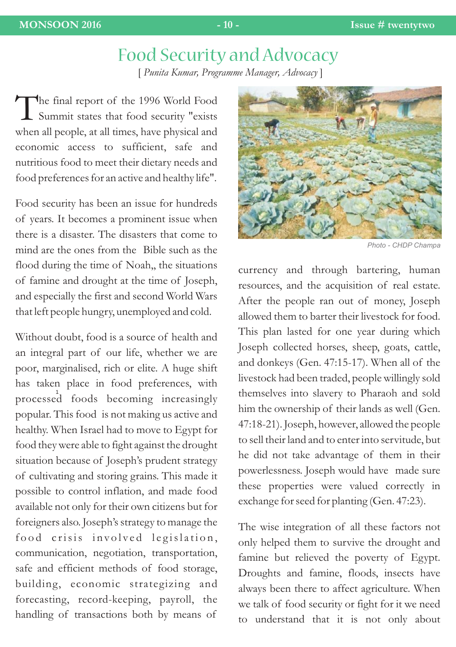# Food Security and Advocacy

[ *Punita Kumar, Programme Manager, Advocacy* ]

The final report of the 1996 World Food<br>Summit states that food security "exists" when all people, at all times, have physical and economic access to sufficient, safe and nutritious food to meet their dietary needs and food preferences for an active and healthy life".

Food security has been an issue for hundreds of years. It becomes a prominent issue when there is a disaster. The disasters that come to mind are the ones from the Bible such as the flood during the time of Noah,, the situations of famine and drought at the time of Joseph, and especially the first and second World Wars that left people hungry, unemployed and cold.

Without doubt, food is a source of health and an integral part of our life, whether we are poor, marginalised, rich or elite. A huge shift has taken place in food preferences, with processed foods becoming increasingly 1 popular. This food is not making us active and healthy. When Israel had to move to Egypt for food they were able to fight against the drought situation because of Joseph's prudent strategy of cultivating and storing grains. This made it possible to control inflation, and made food available not only for their own citizens but for foreigners also. Joseph's strategy to manage the food crisis involved legislation, communication, negotiation, transportation, safe and efficient methods of food storage, building, economic strategizing and forecasting, record-keeping, payroll, the handling of transactions both by means of



*Photo - CHDP Champa*

currency and through bartering, human resources, and the acquisition of real estate. After the people ran out of money, Joseph allowed them to barter their livestock for food. This plan lasted for one year during which Joseph collected horses, sheep, goats, cattle, and donkeys (Gen. 47:15-17). When all of the livestock had been traded, people willingly sold themselves into slavery to Pharaoh and sold him the ownership of their lands as well (Gen. 47:18-21). Joseph, however, allowed the people to sell their land and to enter into servitude, but he did not take advantage of them in their powerlessness. Joseph would have made sure these properties were valued correctly in exchange for seed for planting (Gen. 47:23).

The wise integration of all these factors not only helped them to survive the drought and famine but relieved the poverty of Egypt. Droughts and famine, floods, insects have always been there to affect agriculture. When we talk of food security or fight for it we need to understand that it is not only about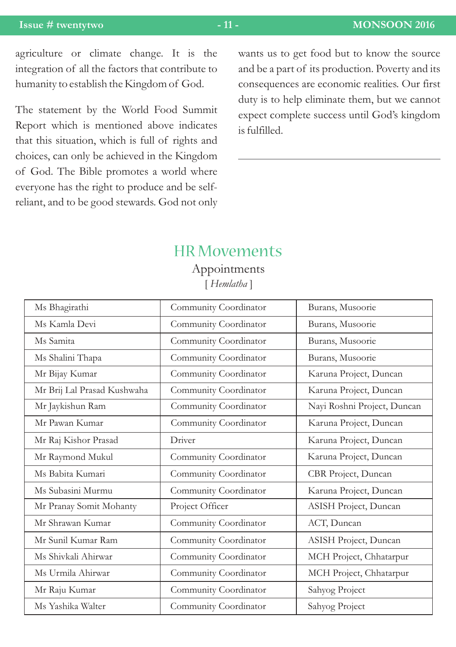#### **Issue # twentytwo - 11 - MONSOON 2016**

agriculture or climate change. It is the integration of all the factors that contribute to humanity to establish the Kingdom of God.

The statement by the World Food Summit Report which is mentioned above indicates that this situation, which is full of rights and choices, can only be achieved in the Kingdom of God. The Bible promotes a world where everyone has the right to produce and be selfreliant, and to be good stewards. God not only

wants us to get food but to know the source and be a part of its production. Poverty and its consequences are economic realities. Our first duty is to help eliminate them, but we cannot expect complete success until God's kingdom is fulfilled.

### HR Movements

[ *Hemlatha* ] Appointments

| Ms Bhagirathi               | Community Coordinator | Burans, Musoorie            |
|-----------------------------|-----------------------|-----------------------------|
| Ms Kamla Devi               | Community Coordinator | Burans, Musoorie            |
| Ms Samita                   | Community Coordinator | Burans, Musoorie            |
| Ms Shalini Thapa            | Community Coordinator | Burans, Musoorie            |
| Mr Bijay Kumar              | Community Coordinator | Karuna Project, Duncan      |
| Mr Brij Lal Prasad Kushwaha | Community Coordinator | Karuna Project, Duncan      |
| Mr Jaykishun Ram            | Community Coordinator | Nayi Roshni Project, Duncan |
| Mr Pawan Kumar              | Community Coordinator | Karuna Project, Duncan      |
| Mr Raj Kishor Prasad        | Driver                | Karuna Project, Duncan      |
| Mr Raymond Mukul            | Community Coordinator | Karuna Project, Duncan      |
| Ms Babita Kumari            | Community Coordinator | CBR Project, Duncan         |
| Ms Subasini Murmu           | Community Coordinator | Karuna Project, Duncan      |
| Mr Pranay Somit Mohanty     | Project Officer       | ASISH Project, Duncan       |
| Mr Shrawan Kumar            | Community Coordinator | ACT, Duncan                 |
| Mr Sunil Kumar Ram          | Community Coordinator | ASISH Project, Duncan       |
| Ms Shivkali Ahirwar         | Community Coordinator | MCH Project, Chhatarpur     |
| Ms Urmila Ahirwar           | Community Coordinator | MCH Project, Chhatarpur     |
| Mr Raju Kumar               | Community Coordinator | Sahyog Project              |
| Ms Yashika Walter           | Community Coordinator | Sahyog Project              |